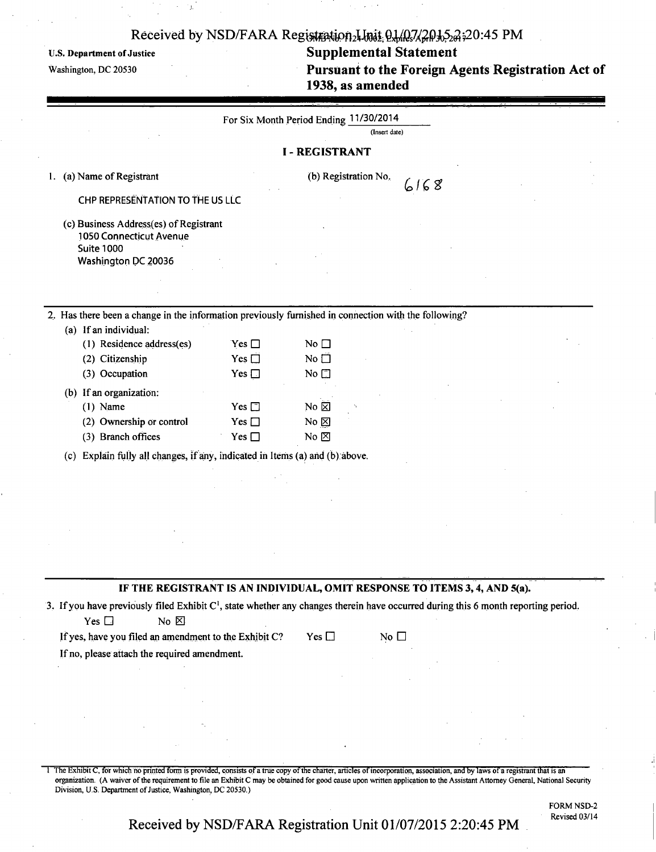## Received by NSD/FARA Registration<sub>2</sub> Lost 01/03/20105 PM

## U.S. Department of Justice Supplemental Statement

**Washington, DC 20530 Pursuant to the Foreign Agents Registration Act of 1938, as amended** 

| For Six Month Period Ending 11/30/2014 |  |
|----------------------------------------|--|
|----------------------------------------|--|

(Insert date)

### **I - REGISTRANT**

1. (a) Name of Registrant

| (b) Registration No. |  |
|----------------------|--|
|----------------------|--|

 $6168$ 

CHP REPRESENTATION TO THE US LLC

(c) Business Address(es) of Registrant 1050 Connecticut Avenue Suite 1000 Washington DC 20036

2. Has there been a change in the information previously furnished in connection with the following?

| (a) If an individual:     |                  |                   |
|---------------------------|------------------|-------------------|
| (1) Residence address(es) | $Yes \Box$       | No $\square$      |
| (2) Citizenship           | Yes $\Box$       | No □              |
| (3) Occupation            | Yes $\Box$       | No $\Box$         |
| (b) If an organization:   |                  |                   |
| $(1)$ Name                | $Yes \sqcap$     | No <sup>[2]</sup> |
| (2) Ownership or control  | Yes $\Box$       | No $\boxtimes$    |
| (3) Branch offices        | Yes $\mathsf{L}$ | No ⊠              |

(c) Explain fully all changes, if any , indicated in Items (a) and (b). above.

#### **IF THE REGISTRANT IS AN INDIVIDUAL, OMIT RESPONSE TO ITEMS 3,4, AND 5(a).**

3. If you have previously filed Exhibit C<sup>1</sup>, state whether any changes therein have occurred during this 6 month reporting period.  $Yes \Box$  No  $\boxtimes$ 

If yes, have you filed an amendment to the Exhibit C? Yes  $\Box$  No  $\Box$ 

If no, please attach the required amendment.

The Exhibit C, for which no printed form is provided, consists of a true copy of the charter, articles of incorporation, association, and by laws of a registrant that is an organization. (A waiver of the requirement to file an Exhibit C may be obtained for good cause upon written application to the Assistant Attorney General, National Security Division, U.S. Department of Justice, Washington, DC 20530.)

FORM NSD-2

Revised 03/14 **Received by NSD/FARA Registration Unit 01/07/2015 2:20:45 PM**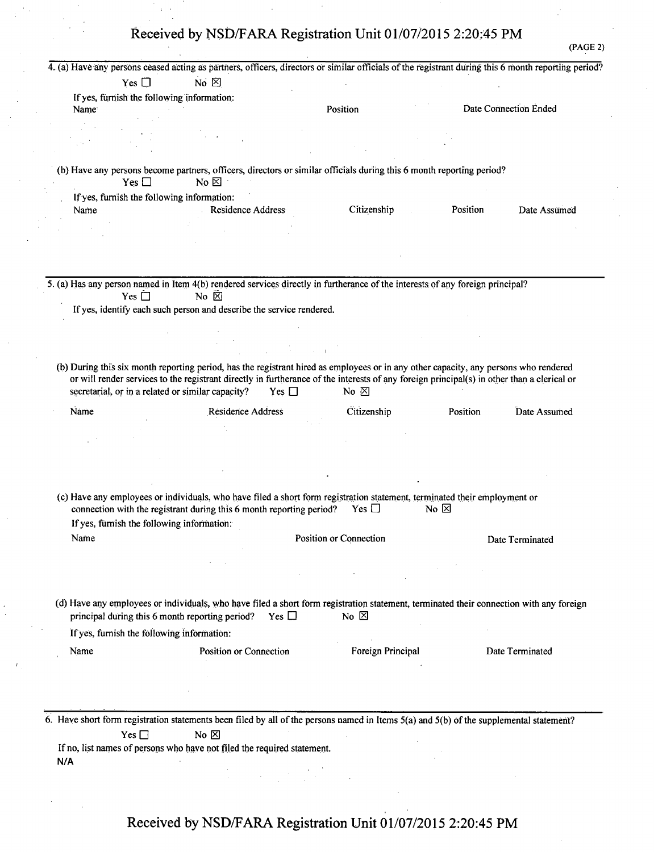# **Received by NSD/FARA Registration Unit 01/07/2015 2:20:45 PM**

(PAGE 2)

|               | 4. (a) Have any persons ceased acting as partners, officers, directors or similar officials of the registrant during this 6 month reporting period?                                                                                                                                                                                     |                              |                |                       |
|---------------|-----------------------------------------------------------------------------------------------------------------------------------------------------------------------------------------------------------------------------------------------------------------------------------------------------------------------------------------|------------------------------|----------------|-----------------------|
| Yes $\Box$    | No $\boxtimes$                                                                                                                                                                                                                                                                                                                          |                              |                |                       |
|               | If yes, furnish the following information:                                                                                                                                                                                                                                                                                              |                              |                |                       |
| Name          |                                                                                                                                                                                                                                                                                                                                         | Position                     |                | Date Connection Ended |
|               |                                                                                                                                                                                                                                                                                                                                         |                              |                |                       |
|               |                                                                                                                                                                                                                                                                                                                                         |                              |                |                       |
|               |                                                                                                                                                                                                                                                                                                                                         |                              |                |                       |
| Yes $\Box$    | (b) Have any persons become partners, officers, directors or similar officials during this 6 month reporting period?<br>No $\boxtimes$                                                                                                                                                                                                  |                              |                |                       |
|               | If yes, furnish the following information:                                                                                                                                                                                                                                                                                              |                              |                |                       |
| Name          | Residence Address                                                                                                                                                                                                                                                                                                                       | Citizenship                  | Position       | Date Assumed          |
|               |                                                                                                                                                                                                                                                                                                                                         |                              |                |                       |
|               |                                                                                                                                                                                                                                                                                                                                         |                              |                |                       |
|               |                                                                                                                                                                                                                                                                                                                                         |                              |                |                       |
|               | 5. (a) Has any person named in Item 4(b) rendered services directly in furtherance of the interests of any foreign principal?                                                                                                                                                                                                           |                              |                |                       |
| Yes $\square$ | No $\n  \n\n$                                                                                                                                                                                                                                                                                                                           |                              |                |                       |
|               | If yes, identify each such person and describe the service rendered.                                                                                                                                                                                                                                                                    |                              |                |                       |
|               |                                                                                                                                                                                                                                                                                                                                         |                              |                |                       |
|               |                                                                                                                                                                                                                                                                                                                                         |                              |                |                       |
|               |                                                                                                                                                                                                                                                                                                                                         |                              |                |                       |
|               | (b) During this six month reporting period, has the registrant hired as employees or in any other capacity, any persons who rendered<br>or will render services to the registrant directly in furtherance of the interests of any foreign principal(s) in other than a clerical or<br>secretarial, or in a related or similar capacity? | Yes $\Box$<br>No $\boxtimes$ |                |                       |
| Name          | Residence Address                                                                                                                                                                                                                                                                                                                       | Citizenship                  | Position       | Date Assumed          |
|               |                                                                                                                                                                                                                                                                                                                                         |                              |                |                       |
|               |                                                                                                                                                                                                                                                                                                                                         |                              |                |                       |
|               |                                                                                                                                                                                                                                                                                                                                         |                              |                |                       |
|               |                                                                                                                                                                                                                                                                                                                                         |                              |                |                       |
|               | (c) Have any employees or individuals, who have filed a short form registration statement, terminated their employment or<br>connection with the registrant during this 6 month reporting period?                                                                                                                                       | Yes $\Box$                   | No $\boxtimes$ |                       |
|               | If yes, furnish the following information:                                                                                                                                                                                                                                                                                              |                              |                |                       |
| Name          |                                                                                                                                                                                                                                                                                                                                         | Position or Connection       |                | Date Terminated       |
|               |                                                                                                                                                                                                                                                                                                                                         |                              |                |                       |
|               |                                                                                                                                                                                                                                                                                                                                         |                              |                |                       |
|               | (d) Have any employees or individuals, who have filed a short form registration statement, terminated their connection with any foreign                                                                                                                                                                                                 |                              |                |                       |
|               | principal during this 6 month reporting period?                                                                                                                                                                                                                                                                                         | No $\boxtimes$<br>Yes $\Box$ |                |                       |
|               | If yes, furnish the following information:                                                                                                                                                                                                                                                                                              |                              |                |                       |
| Name          | Position or Connection                                                                                                                                                                                                                                                                                                                  | Foreign Principal            |                | Date Terminated       |
|               |                                                                                                                                                                                                                                                                                                                                         |                              |                |                       |
|               |                                                                                                                                                                                                                                                                                                                                         |                              |                |                       |
|               |                                                                                                                                                                                                                                                                                                                                         |                              |                |                       |
| Yes $\Box$    | 6. Have short form registration statements been filed by all of the persons named in Items $5(a)$ and $5(b)$ of the supplemental statement?<br>No $\boxtimes$                                                                                                                                                                           |                              |                |                       |
|               | If no, list names of persons who have not filed the required statement.                                                                                                                                                                                                                                                                 |                              |                |                       |
| N/A           |                                                                                                                                                                                                                                                                                                                                         |                              |                |                       |
|               | $\mathcal{L}^{\text{max}}_{\text{max}}$                                                                                                                                                                                                                                                                                                 |                              |                |                       |
|               |                                                                                                                                                                                                                                                                                                                                         |                              |                |                       |
|               |                                                                                                                                                                                                                                                                                                                                         |                              |                |                       |
|               |                                                                                                                                                                                                                                                                                                                                         |                              |                |                       |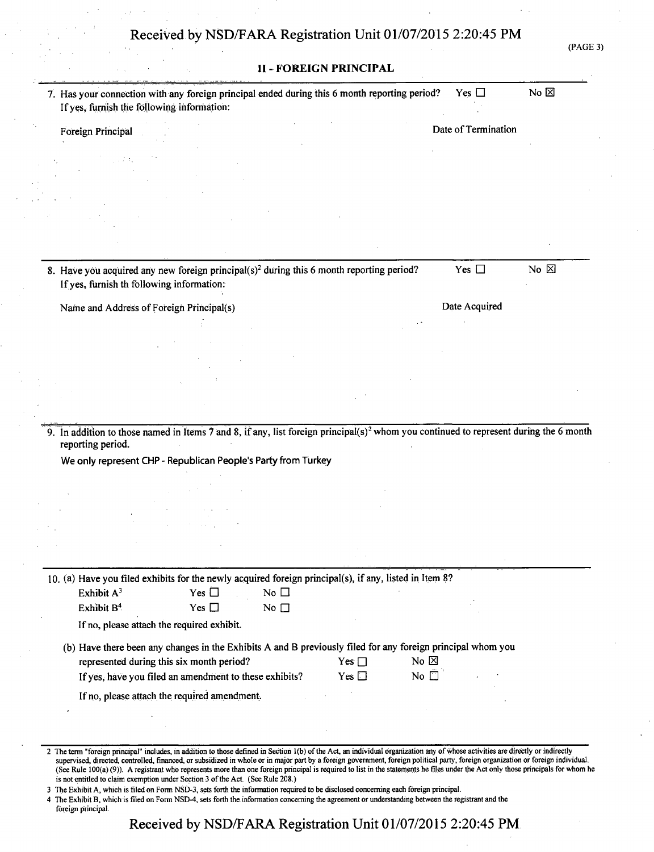| (PAGE 3 |  |
|---------|--|
|---------|--|

| 7. Has your connection with any foreign principal ended during this 6 month reporting period?                                                                                                                                                               | Yes $\Box$                       | No $\boxtimes$ |
|-------------------------------------------------------------------------------------------------------------------------------------------------------------------------------------------------------------------------------------------------------------|----------------------------------|----------------|
| If yes, furnish the following information:                                                                                                                                                                                                                  |                                  |                |
| Foreign Principal                                                                                                                                                                                                                                           | Date of Termination              |                |
|                                                                                                                                                                                                                                                             |                                  |                |
|                                                                                                                                                                                                                                                             |                                  |                |
|                                                                                                                                                                                                                                                             |                                  |                |
|                                                                                                                                                                                                                                                             |                                  |                |
|                                                                                                                                                                                                                                                             |                                  |                |
|                                                                                                                                                                                                                                                             |                                  |                |
| 8. Have you acquired any new foreign principal(s) <sup>2</sup> during this 6 month reporting period?                                                                                                                                                        | Yes $\Box$                       | No $\boxtimes$ |
| If yes, furnish th following information:                                                                                                                                                                                                                   |                                  |                |
| Name and Address of Foreign Principal(s)                                                                                                                                                                                                                    | Date Acquired                    |                |
|                                                                                                                                                                                                                                                             |                                  |                |
|                                                                                                                                                                                                                                                             |                                  |                |
|                                                                                                                                                                                                                                                             |                                  |                |
|                                                                                                                                                                                                                                                             |                                  |                |
|                                                                                                                                                                                                                                                             |                                  |                |
|                                                                                                                                                                                                                                                             |                                  |                |
|                                                                                                                                                                                                                                                             |                                  |                |
| reporting period.<br>We only represent CHP - Republican People's Party from Turkey                                                                                                                                                                          |                                  |                |
|                                                                                                                                                                                                                                                             |                                  |                |
|                                                                                                                                                                                                                                                             |                                  |                |
|                                                                                                                                                                                                                                                             |                                  |                |
|                                                                                                                                                                                                                                                             |                                  |                |
|                                                                                                                                                                                                                                                             |                                  |                |
|                                                                                                                                                                                                                                                             |                                  |                |
| Exhibit A <sup>3</sup><br>Yes $\Box$<br>No $\square$                                                                                                                                                                                                        |                                  |                |
| Exhibit B <sup>4</sup><br>Yes $\Box$<br>No $\square$                                                                                                                                                                                                        |                                  |                |
| If no, please attach the required exhibit.                                                                                                                                                                                                                  |                                  |                |
| (b) Have there been any changes in the Exhibits A and B previously filed for any foreign principal whom you                                                                                                                                                 |                                  |                |
| represented during this six month period?                                                                                                                                                                                                                   | No $\boxtimes$<br>Yes $\Box$     |                |
| If yes, have you filed an amendment to these exhibits?                                                                                                                                                                                                      | No $\bar{\Box}$<br>Yes $\square$ |                |
| If no, please attach the required amendment.                                                                                                                                                                                                                |                                  |                |
| 9. In addition to those named in Items 7 and 8, if any, list foreign principal(s) <sup>2</sup> whom you continued to represent during the 6 month<br>10. (a) Have you filed exhibits for the newly acquired foreign principal(s), if any, listed in Item 8? |                                  |                |

3 The Exhibit A, which is filed on Form NSD-3, sets forth the information required to be disclosed concerning each foreign principal.

4 The Exhibit B, which is filed on Form NSD-4, sets forth the information concerning the agreement or understanding between the registrant and the foreign principal.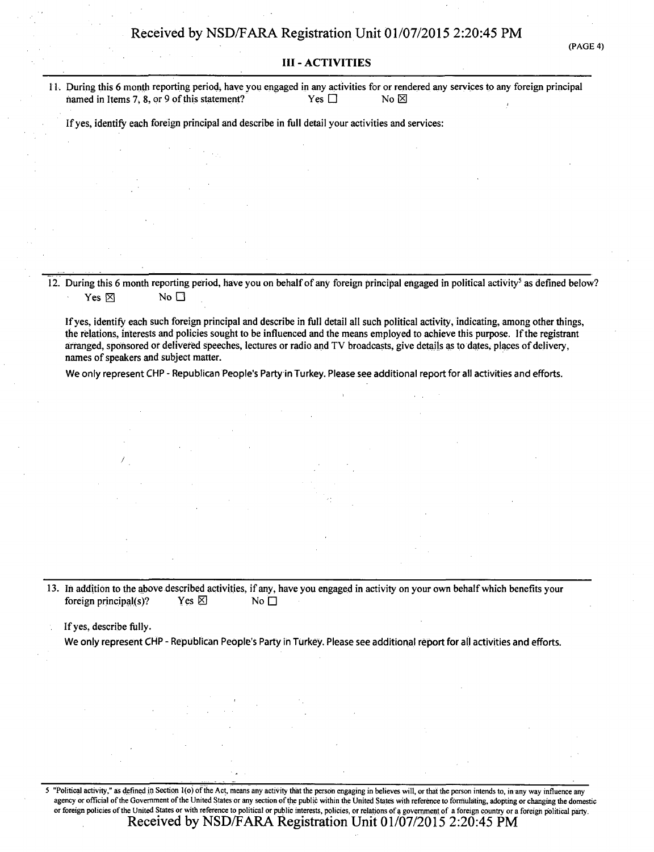#### (PAGE 4)

#### **III - ACTIVITIES**

**11. During this 6 month reporting period, have you engaged in any activities for or rendered any services to any foreign principal named in Items 7, 8, or 9 of this statement?** Yes  $\Box$  No  $\boxtimes$ named in Items 7, 8, or 9 of this statement?

**Ifyes, identify each foreign principal and describe in full detail your activities and services:** 

**12. During this 6 month reporting period, have you on behalf of any foreign principal engaged in political activity<sup>5</sup> as defined below?**   $\mathsf{Yes} \boxtimes \mathsf{No} \square$ 

**If yes, identify each such foreign principal and describe in full detail all such political activity, indicating, among other things, the relations, interests and policies sought to be influenced and the means employed to achieve this purpose. If the registrant arranged, sponsored or delivered speeches, lectures or radio and TV broadcasts, give details as to dates, places of delivery, names of speakers and subject matter.** 

We only represent CHP - Republican People's Party in Turkey. Please see additional report for all activities and efforts.

**13. In addition to the above described activities, if any, have you engaged in activity on your own behalf which benefits your foreign principal(s)?** Yes  $\boxtimes$  No  $\Box$ 

**If yes, describe fully.** 

We only represent CHP - Republican People's Party in Turkey. Please see additional report for all activities and efforts.

5 "Political activity," as defined in Section l(o)of the Act, means any activity that the person engaging in believes will, or that the person intends to, in any way influence any agency or official of the Government of the United States or any section of the public within the United States with reference to formulating, adopting or changing the domestic or foreign policies of the United States or with reference to political or public interests, policies, or relations of a government of a foreign country or a foreign political party. **Received by NSD/FARA Registration Unit 01/07/2015 2:20:45 PM**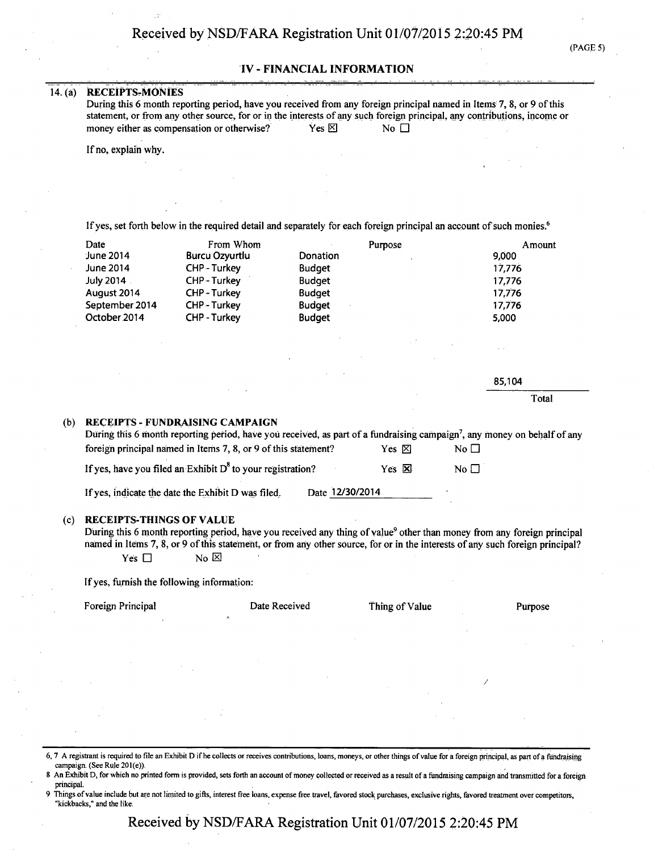#### **TV - FINANCIAL INFORMATION**

#### **14(a) RECEIPTS-MONIES**

**During this 6 month reporting period, have you received from any foreign principal named in Items 7, 8, or 9 of this statement, or from any other source, for or in the interests of any such foreign principal, any contributions, income or** money either as compensation or otherwise?<br>
Yes  $\boxtimes$  No  $\Box$ **money either as compensation or otherwise?** Yes  $\boxtimes$  No  $\Box$ 

**If no, explain why.** 

**If yes, set forth below in the required detail and separately for each foreign principal an account of such monies.<sup>6</sup>**

| Date           | From Whom         | Purpose       | Amount |
|----------------|-------------------|---------------|--------|
| June 2014      | Burcu Ozyurtlu    | Donation      | 9,000  |
| June 2014      | CHP-Turkey        | <b>Budget</b> | 17,776 |
| July 2014      | CHP-Turkey        | <b>Budget</b> | 17.776 |
| August 2014    | <b>CHP-Turkey</b> | <b>Budget</b> | 17,776 |
| September 2014 | CHP - Turkey      | <b>Budget</b> | 17.776 |
| October 2014   | CHP-Turkey        | <b>Budget</b> | 5,000  |
|                |                   |               |        |

85,104

**Total** 

#### **(b) RECEIPTS - FUNDRAISING CAMPAIGN**

| During this 6 month reporting period, have you received, as part of a fundraising campaign <sup>7</sup> , any money on behalf of any |                 |              |           |
|--------------------------------------------------------------------------------------------------------------------------------------|-----------------|--------------|-----------|
| foreign principal named in Items 7, 8, or 9 of this statement?                                                                       |                 | Yes ⊠        | No $\Box$ |
| If yes, have you filed an Exhibit $D^8$ to your registration?                                                                        |                 | Yes <b>X</b> | No $\Box$ |
| If yes, indicate the date the Exhibit D was filed.                                                                                   | Date 12/30/2014 |              |           |

#### **(c) RECEIPTS-THINGS OF VALUE**

During this 6 month reporting period, have you received any thing of value<sup>9</sup> other than money from any foreign principal named in Items 7, 8, or 9 of this statement, or from any other source, for or in the interests of any such foreign principal?  $Yes \Box$  No  $\boxtimes$ 

**If yes, furnish the following information:** 

Foreign Principal **Foreign Purpose Date Received Thing of Value Purpose** 

- 6, 7 A registrant is required to file an Exhibit D if he collects or receives contributions, loans, moneys, or other things of value for a foreign principal, as part ofa fundraising campaign. (See Rule 201(e)).
- 8 An Exhibit D, for which no printed form is provided, sets forth an account of money collected or received as a result of a fundraising campaign and transmitted for a foreign principal.
- Things of value include but are not limited to gifts, interest free loans, expense free travel, favored stock purchases, exclusive rights, favored treatment over competitors, "kickbacks," and the like: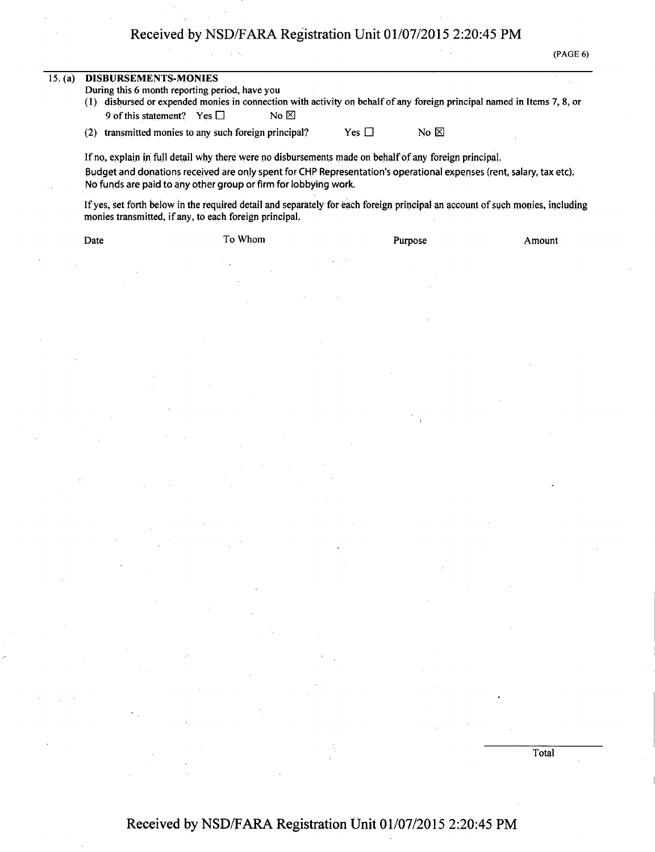# Received by NSD/FARA Registration Unit 01/07/2015 2:20:45 PM

(PAGE 6)

Total

| 15. (a) | DISBURSEMENTS-MONIES                                                                                                                                                                    |  |  |  |  |  |
|---------|-----------------------------------------------------------------------------------------------------------------------------------------------------------------------------------------|--|--|--|--|--|
|         | During this 6 month reporting period, have you                                                                                                                                          |  |  |  |  |  |
|         | disbursed or expended monies in connection with activity on behalf of any foreign principal named in Items 7, 8, or<br>(1)                                                              |  |  |  |  |  |
|         | No $\boxtimes$<br>9 of this statement? Yes $\Box$                                                                                                                                       |  |  |  |  |  |
|         | No $\boxtimes$<br>transmitted monies to any such foreign principal?<br>Yes $\Box$<br>(2)                                                                                                |  |  |  |  |  |
|         |                                                                                                                                                                                         |  |  |  |  |  |
|         | If no, explain in full detail why there were no disbursements made on behalf of any foreign principal.                                                                                  |  |  |  |  |  |
|         | Budget and donations received are only spent for CHP Representation's operational expenses (rent, salary, tax etc).                                                                     |  |  |  |  |  |
|         | No funds are paid to any other group or firm for lobbying work.                                                                                                                         |  |  |  |  |  |
|         |                                                                                                                                                                                         |  |  |  |  |  |
|         | If yes, set forth below in the required detail and separately for each foreign principal an account of such monies, including<br>monies transmitted, if any, to each foreign principal. |  |  |  |  |  |
|         |                                                                                                                                                                                         |  |  |  |  |  |

Date To Whom To Whom Purpose Amount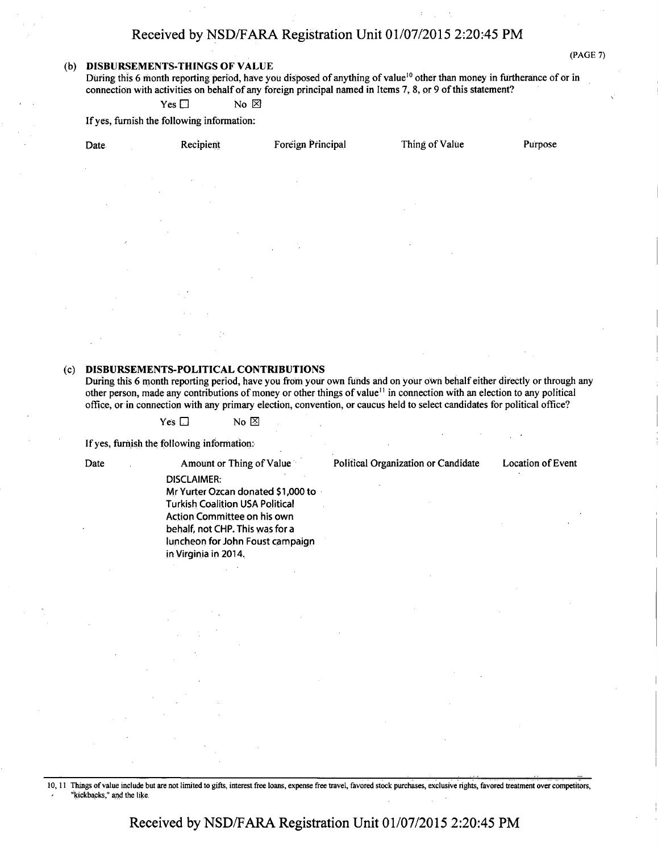## Received by NSD/FARA Registration Unit 01/07/2015 2:20:45 PM

#### (b) DISBURSEMENTS-THINGS OF VALUE

(PAGE 7)

During this 6 month reporting period, have you disposed of anything of value<sup>10</sup> other than money in furtherance of or in connection with activities on behalf of any foreign principal named in Items 7, 8, or 9 of this statement?

 $Yes \Box$  No  $\boxtimes$ 

If yes, furnish the following information:

| Date.                             | Recipient                                                                                                                                                                                                  | Foreign Principal                       | Thing of Value                                         | Purpose |
|-----------------------------------|------------------------------------------------------------------------------------------------------------------------------------------------------------------------------------------------------------|-----------------------------------------|--------------------------------------------------------|---------|
| $\mathbf{r}$                      |                                                                                                                                                                                                            |                                         |                                                        |         |
|                                   | $\mathcal{L}^{\text{max}}_{\text{max}}$ and $\mathcal{L}^{\text{max}}_{\text{max}}$ and $\mathcal{L}^{\text{max}}_{\text{max}}$ and $\mathcal{L}^{\text{max}}_{\text{max}}$<br>and the control of the con- |                                         |                                                        |         |
| $\sim$                            | and the state                                                                                                                                                                                              |                                         |                                                        |         |
| and the control of the control of | $\sim$<br>the control of the control of the                                                                                                                                                                |                                         |                                                        |         |
| $\mathcal{E}$                     | <b>Contractor</b>                                                                                                                                                                                          | $\mathcal{L}^{\text{max}}_{\text{max}}$ | the control of the control of the control of<br>$\sim$ |         |
| $\sim$                            | $\sim$                                                                                                                                                                                                     |                                         |                                                        |         |
| $\epsilon$                        | $\sim 10^7$                                                                                                                                                                                                |                                         |                                                        |         |
| $\sim$                            | <b>All Store</b>                                                                                                                                                                                           |                                         |                                                        |         |
|                                   | $\frac{1}{2}$ .<br><b>Carl Corp.</b>                                                                                                                                                                       |                                         |                                                        |         |

#### (c) DISBURSEMENTS-POLITICAL CONTRIBUTIONS

During this 6 month reporting period, have you from your own funds and on your own behalf either directly or through any other person, made any contributions of money or other things of value'<sup>1</sup> in connection with an election to any political office, or in connection with any primary election, convention, or caucus held to select candidates for political office?

 $Yes \Box$  No  $\boxtimes$ 

If yes, furnish the following information:

Date Amount or Thing of Value Political Organization or Candidate Location of Event DISCLAIMER: Mr Yurter Ozcan donated \$1,000 to Turkish Coalition USA Political Action Committee on his own behalf, not CHP. This was for a luncheon for John Foust campaign in Virginia in 2014.

#### 10,11 Things of value include but are not limited to gifts, interest free loans, expense free travel, favored stock purchases, exclusive rights, favored treatment over competitors, "kickbacks," and the like.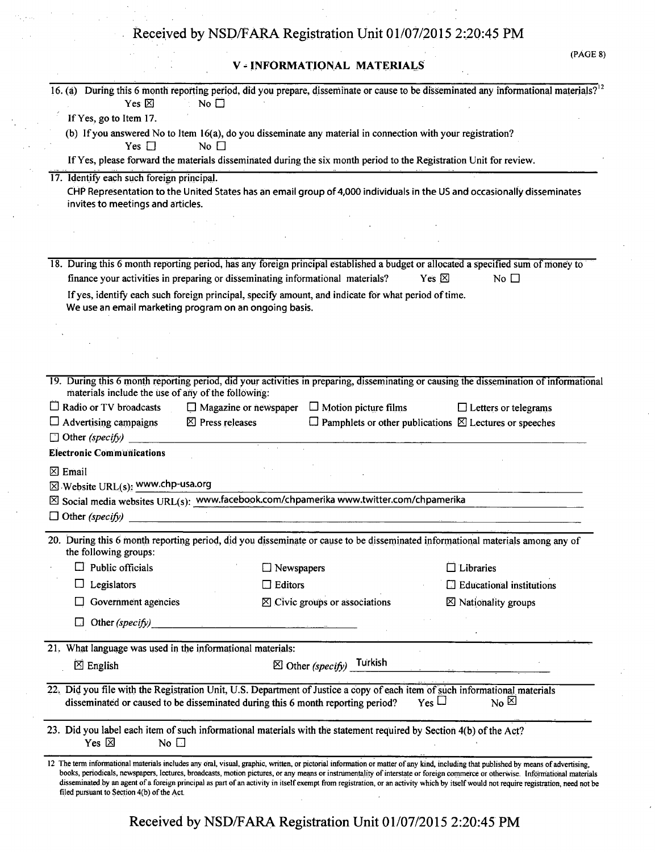# **V - INFORMATIONAL MATERIALS**

| 16. (a) During this 6 month reporting period, did you prepare, disseminate or cause to be disseminated any informational materials? <sup>12</sup><br>Yes $\boxtimes$<br>No $\square$                                                                                                                                                                                                                                                                                                                                                                                                                        |
|-------------------------------------------------------------------------------------------------------------------------------------------------------------------------------------------------------------------------------------------------------------------------------------------------------------------------------------------------------------------------------------------------------------------------------------------------------------------------------------------------------------------------------------------------------------------------------------------------------------|
| If Yes, go to Item 17.                                                                                                                                                                                                                                                                                                                                                                                                                                                                                                                                                                                      |
| (b) If you answered No to Item 16(a), do you disseminate any material in connection with your registration?                                                                                                                                                                                                                                                                                                                                                                                                                                                                                                 |
| Yes $\Box$<br>No $\square$                                                                                                                                                                                                                                                                                                                                                                                                                                                                                                                                                                                  |
| If Yes, please forward the materials disseminated during the six month period to the Registration Unit for review.                                                                                                                                                                                                                                                                                                                                                                                                                                                                                          |
| 17. Identify each such foreign principal.                                                                                                                                                                                                                                                                                                                                                                                                                                                                                                                                                                   |
| CHP Representation to the United States has an email group of 4,000 individuals in the US and occasionally disseminates<br>invites to meetings and articles.                                                                                                                                                                                                                                                                                                                                                                                                                                                |
|                                                                                                                                                                                                                                                                                                                                                                                                                                                                                                                                                                                                             |
|                                                                                                                                                                                                                                                                                                                                                                                                                                                                                                                                                                                                             |
|                                                                                                                                                                                                                                                                                                                                                                                                                                                                                                                                                                                                             |
| 18. During this 6 month reporting period, has any foreign principal established a budget or allocated a specified sum of money to<br>finance your activities in preparing or disseminating informational materials?<br>No $\square$<br>Yes $\boxtimes$                                                                                                                                                                                                                                                                                                                                                      |
| If yes, identify each such foreign principal, specify amount, and indicate for what period of time.<br>We use an email marketing program on an ongoing basis.                                                                                                                                                                                                                                                                                                                                                                                                                                               |
|                                                                                                                                                                                                                                                                                                                                                                                                                                                                                                                                                                                                             |
|                                                                                                                                                                                                                                                                                                                                                                                                                                                                                                                                                                                                             |
|                                                                                                                                                                                                                                                                                                                                                                                                                                                                                                                                                                                                             |
|                                                                                                                                                                                                                                                                                                                                                                                                                                                                                                                                                                                                             |
| 19. During this 6 month reporting period, did your activities in preparing, disseminating or causing the dissemination of informational<br>materials include the use of any of the following:                                                                                                                                                                                                                                                                                                                                                                                                               |
| $\Box$ Radio or TV broadcasts<br>$\Box$ Magazine or newspaper $\Box$ Motion picture films<br>$\Box$ Letters or telegrams                                                                                                                                                                                                                                                                                                                                                                                                                                                                                    |
| $\boxtimes$ Press releases<br>$\Box$ Advertising campaigns<br>$\Box$ Pamphlets or other publications $\boxtimes$ Lectures or speeches                                                                                                                                                                                                                                                                                                                                                                                                                                                                       |
| $\Box$ Other (specify) ______                                                                                                                                                                                                                                                                                                                                                                                                                                                                                                                                                                               |
| <b>Electronic Communications</b>                                                                                                                                                                                                                                                                                                                                                                                                                                                                                                                                                                            |
| $\boxtimes$ Email                                                                                                                                                                                                                                                                                                                                                                                                                                                                                                                                                                                           |
| $\boxtimes$ Website URL(s): www.chp-usa.org                                                                                                                                                                                                                                                                                                                                                                                                                                                                                                                                                                 |
| $\boxtimes$ Social media websites URL(s): www.facebook.com/chpamerika www.twitter.com/chpamerika                                                                                                                                                                                                                                                                                                                                                                                                                                                                                                            |
| $\Box$ Other (specify)                                                                                                                                                                                                                                                                                                                                                                                                                                                                                                                                                                                      |
| 20. During this 6 month reporting period, did you disseminate or cause to be disseminated informational materials among any of<br>the following groups:                                                                                                                                                                                                                                                                                                                                                                                                                                                     |
| $\Box$ Public officials<br>$\Box$ Libraries<br>$\Box$ Newspapers                                                                                                                                                                                                                                                                                                                                                                                                                                                                                                                                            |
| Legislators<br>$\Box$ Editors<br>El Educational institutions                                                                                                                                                                                                                                                                                                                                                                                                                                                                                                                                                |
| Government agencies<br>$\boxtimes$ Civic groups or associations<br>$\boxtimes$ Nationality groups                                                                                                                                                                                                                                                                                                                                                                                                                                                                                                           |
| Other (specify)<br>and the state of the state of the state of the state of the state of the state of the state of the state of the<br>The state of the state of the state of the state of the state of the state of the state of the state of the st                                                                                                                                                                                                                                                                                                                                                        |
|                                                                                                                                                                                                                                                                                                                                                                                                                                                                                                                                                                                                             |
| 21. What language was used in the informational materials:                                                                                                                                                                                                                                                                                                                                                                                                                                                                                                                                                  |
| $\boxtimes$ Other (specify) Turkish<br>$\boxtimes$ English                                                                                                                                                                                                                                                                                                                                                                                                                                                                                                                                                  |
| 22. Did you file with the Registration Unit, U.S. Department of Justice a copy of each item of such informational materials<br>$Y_{\text{es}}$ $\Box$<br>$_{\rm No}$ $\boxtimes$<br>disseminated or caused to be disseminated during this 6 month reporting period?                                                                                                                                                                                                                                                                                                                                         |
| 23. Did you label each item of such informational materials with the statement required by Section 4(b) of the Act?<br>Yes $\boxtimes$<br>No $\square$                                                                                                                                                                                                                                                                                                                                                                                                                                                      |
| 12 The term informational materials includes any oral, visual, graphic, written, or pictorial information or matter of any kind, including that published by means of advertising,<br>books, periodicals, newspapers, lectures, broadcasts, motion pictures, or any means or instrumentality of interstate or foreign commerce or otherwise. Informational materials<br>disseminated by an agent of a foreign principal as part of an activity in itself exempt from registration, or an activity which by itself would not require registration, need not be<br>filed pursuant to Section 4(b) of the Act. |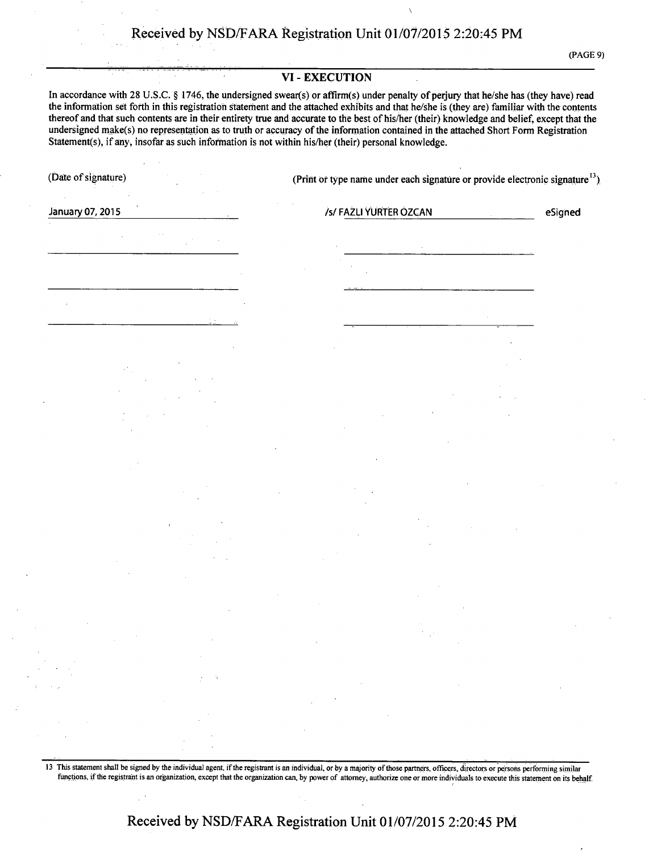(PAGE 9)

#### **VI - EXECUTION**

**In accordance with 28 U.S.C. § 1746, the undersigned swear(s) or affirm(s) under penalty of perjury that he/she has (they have) read the information set forth in this registration statement and the attached exhibits and that he/she is (they are) familiar with the contents thereof and that such contents are in their entirety true and accurate to the best of his/her (their) knowledge and belief, except that the undersigned make(s) no representation as to truth or accuracy of the information contained in the attached Short Form Registration Statement(s), if any, insofar as such information is not within his/her (their) personal knowledge.** 

(Date of signature) (Print or type name under each signature or provide electronic signature<sup>13</sup>)

**January 07, 2015 N FAZLI YURTER OZCAN Exigned Proposed Assumption of the USIS of PAZLI YURTER OZCAN** 

13 This statement shall be signed by the individual agent, if the registrant is an individual, or by a majority of those partners, officers, directors or persons performing similar functions, if the registrant is an organization, except that the organization can, by power of attorney, authorize one or more individuals to execute this statement on its behalf.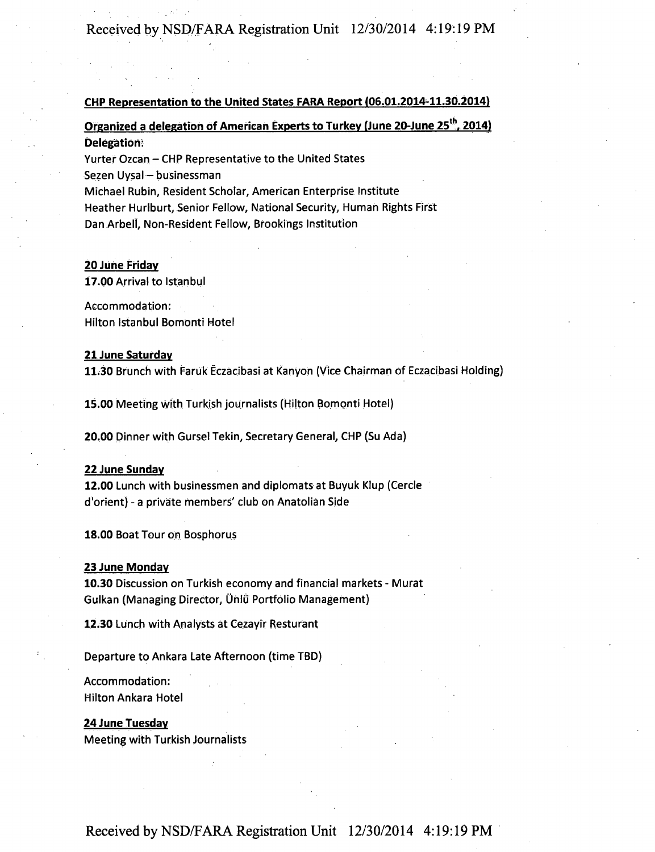#### **CHP Representation to the United States FARA Report (06.01.2014-11.30.2014)**

## **Organized a delegation of American Experts to Turkey (June 20-June 25<sup>th</sup>, 2014) Delegation:**

Yurter Ozcan – CHP Representative to the United States Sezen Uysal - businessman Michael Rubin, Resident Scholar, American Enterprise Institute Heather Hurlburt, Senior Fellow, National Security, Human Rights First Dan Arbell, Non-Resident Fellow, Brookings Institution

#### **20 June Friday**

17.00 Arrival to Istanbul

Accommodation: Hilton Istanbul Bomonti Hotel

#### **21 June Saturday**

11.30 Brunch with Faruk Eczacibasi at Kanyon (Vice Chairman of Eczacibasi Holding) 1130 Brunch with Faruk Eczacibasi at Kanyon (Vice Chairman of Eczacibasi Holding)

15.00 Meeting with Turkish journalists (Hilton Bomonti Hotel)

20.00 Dinner with Gursel Tekin, Secretary General, CHP (Su Ada)

#### 22 June Sunday

12.00 Lunch with businessmen and diplomats at Buyuk Klup (Cercle d'orient) - a private members' club on Anatolian Side

18.00 Boat Tour on Bosphorus

#### **23 June Monday**

10.30 Discussion on Turkish economy and financial markets - Murat Gulkan (Managing Director, Üniü Portfolio Management)

12.30 Lunch with Analysts at Cezayir Resturant

Departure to Ankara Late Afternoon (time TBD)

## Accommodation: Hilton Ankara Hotel

#### **24 June Tuesday**

Meeting with Turkish Journalists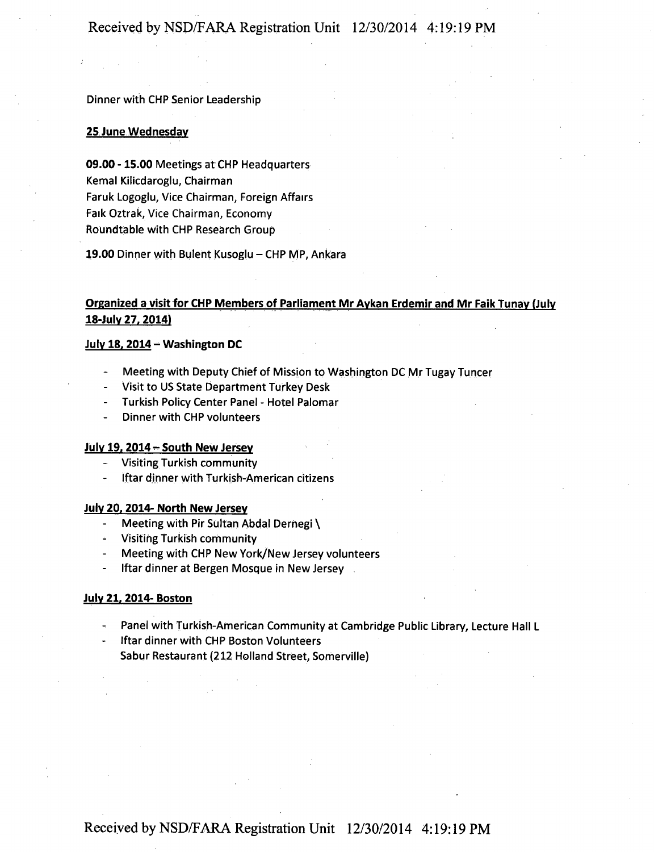#### **Dinner with CHP Senior Leadership**

#### **25 June Wed nesdav**

09.00 -15.00 Meetings at CHP Headquarters Kemal Kilicdaroglu, Chairman Faruk Logoglu, Vice Chairman, Foreign Affairs Faik Oztrak, Vice Chairman, Economy Roundtable with CHP Research Group

19.00 Dinner with Bulent Kusoglu - CHP MP, Ankara

## **Organized a visit for CHP Members of Parliament Mr Aykan Erdemir and Mr Faik Tunay (July 18-July 27, 2014)**

#### **July 18.2014 - Washington DC**

- Meeting with Deputy Chief of Mission to Washington DC Mr Tugay Tuncer
- Visit to US State Department Turkey Desk
- Turkish Policy Center Panel Hotel Palomar
- Dinner with CHP volunteers

#### **July 19.2014 - South New Jersey**

- Visiting Turkish community
- Iftar dinner with Turkish-American citizens

#### **July 20.2014- North New Jersey**

- Meeting with Pir Sultan Abdal Derhegi \
- ^ Visiting Turkish community
- Meeting with CHP New York/New Jersey volunteers
- Iftar dinner at Bergen Mosque in New Jersey

#### **July 21. 2014-Boston**

Panel with Turkish-American Community at Cambridge Public Library, Lecture Hall L

Iftar dinner with CHP Boston Volunteers Sabur Restaurant (212 Holland Street, Somerville)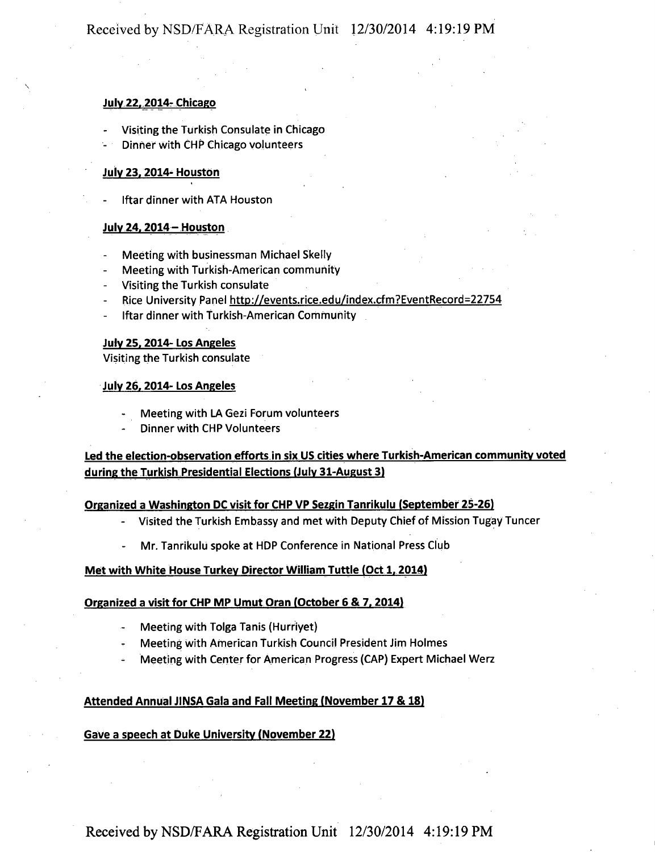## Received by NSD/FARA Registration Unit 12/30/2014 4:19:19 PM

#### **July 22, 2014- Chicago**

- Visiting the Turkish Consulate in Chicago
- Dinner with CHP Chicago volunteers - Dinner with CHP Chicago volunteers

# **July 23. 2014-Houston**

Iftar dinner with ATA Houston - Iftardinner with ATA Houston

# **July 24. 2014- Houston**

- Meeting with businessman Michael Skelly
- Meeting with Turkish-American community
- Visiting the Turkish consulate
- Rice University Panel http://events.rice.edu/index.cfm?EventRecord=22754
- Iftar dinner with Turkish-American Community

#### **July 25. 2014- Los Angeles**

Visiting the Turkish consulate

#### **July 26,2014- Los Angeles**

- Meeting with LA Gezi Forum volunteers
- Dinner with CHP Volunteers

## **Led the election-observation efforts in six US cities where Turkish-American community voted during the Turkish Presidential Elections (July 31-August 3)**

#### **Organized a Washington DC visit for CHP VP Sezgin Tanrikulu (September 25-26)**

- Visited the Turkish Embassy and met with Deputy Chief of Mission Tugay Tuncer
- **Mr. Tanrikulu spoke at HDP Conference in National Press Club**

#### **Met with White House Turkey Director William Tuttle (Oct 1, 2014)**

#### **Organized a visit for CHP MP Umut Oran (October 6 & 7. 2014)**

- Meeting with Tolga Tanis (Hurriyet)
- Meeting with American Turkish Council President Jim Holmes
- Meeting with Center for American Progress (CAP) Expert Michael Werz

#### **Attended Annual JINSA Gala and Fall Meeting (November 17 & 18)**

#### **Gave a speech at Duke University (November 22)**

Received by NSD/FARA Registration Unit 12/30/2014 4:19:19 PM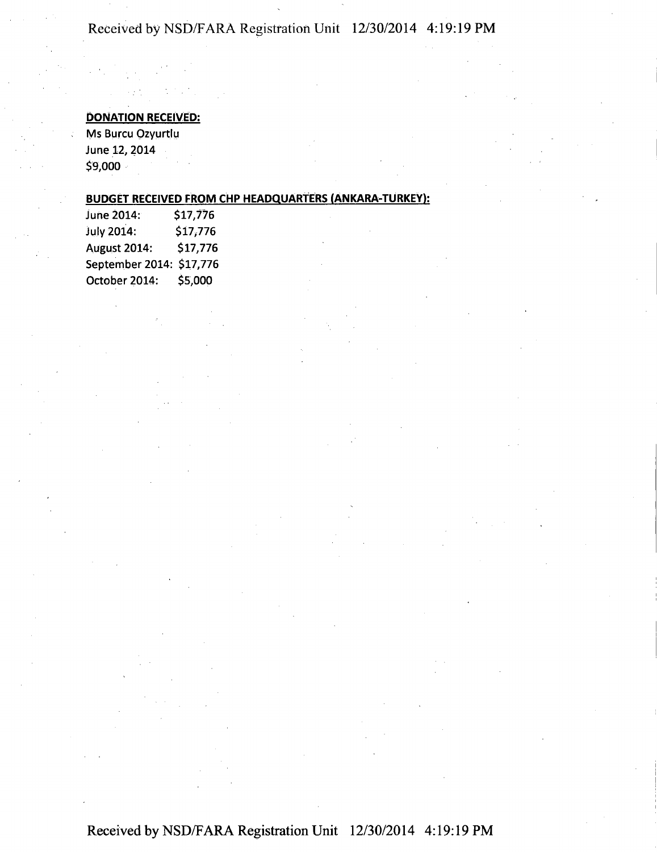## **Received by NSD/FARA Registration Unit 12/30/2014 4:19:19 PM**

## **DONATION RECEIVED:**

Ms Burcu Ozyurtlu June 12, 2014 \$9,000

## **BUDGET RECEIVED FROM CHP HEADQUARTERS (ANKARA-TURKEY):**

| June 2014:               | \$17,776 |
|--------------------------|----------|
| July 2014:               | \$17,776 |
| August 2014:             | \$17,776 |
| September 2014: \$17,776 |          |
| October 2014:            | \$5,000  |